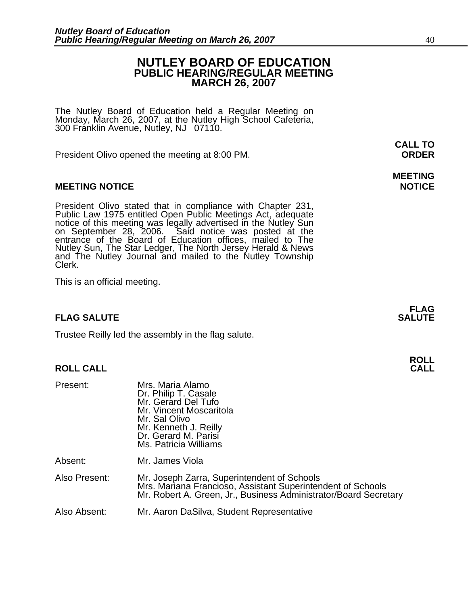#### **NUTLEY BOARD OF EDUCATION PUBLIC HEARING/REGULAR MEETING MARCH 26, 2007**

The Nutley Board of Education held a Regular Meeting on Monday, March 26, 2007, at the Nutley High School Cafeteria, 300 Franklin Avenue, Nutley, NJ 07110.

President Olivo opened the meeting at 8:00 PM. **ORDER**

#### **MEETING NOTICE NOTICE REPORTS AND ALCOHOL**

President Olivo stated that in compliance with Chapter 231,<br>Public Law 1975 entitled Open Public Meetings Act, adequate<br>notice of this meeting was legally advertised in the Nutley Sun<br>on September 28, 2006. Said notice was Nutley Sun, The Star Ledger, The North Jersey Herald & News and The Nutley Journal and mailed to the Nutley Township Clerk.

This is an official meeting.

#### **FLAG SALUTE** SALUTE SALUTE SALUTE SALUTE SALUTE

Trustee Reilly led the assembly in the flag salute.

#### **ROLL CALL**

| Present:      | Mrs. Maria Alamo<br>Dr. Philip T. Casale<br>Mr. Gerard Del Tufo<br>Mr. Vincent Moscaritola<br>Mr. Sal Olivo<br>Mr. Kenneth J. Reilly<br>Dr. Gerard M. Parisí<br>Ms. Patricia Williams |
|---------------|---------------------------------------------------------------------------------------------------------------------------------------------------------------------------------------|
| Absent:       | Mr. James Viola                                                                                                                                                                       |
| Also Present: | Mr. Joseph Zarra, Superintendent of Schools<br>Mrs. Mariana Francioso, Assistant Superintendent of Schools<br>Mr. Robert A. Green, Jr., Business Administrator/Board Secretary        |
| Also Absent:  | Mr. Aaron DaSilva, Student Representative                                                                                                                                             |

**CALL TO** 

## **MEETING**

**FLAG** 

**ROLL**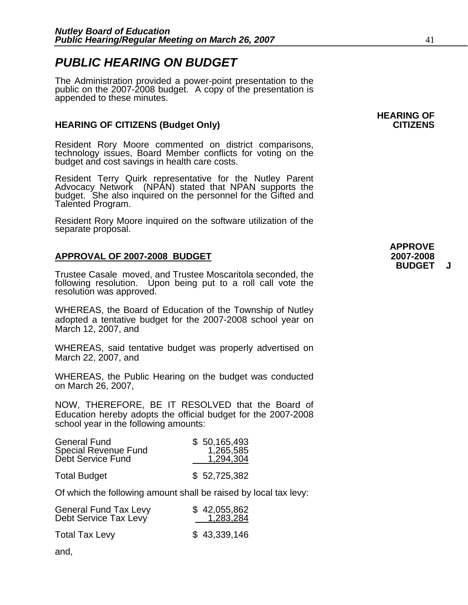### *PUBLIC HEARING ON BUDGET*

The Administration provided a power-point presentation to the public on the 2007-2008 budgeṫ. A copy of the presentation is<br>appended to these minutes.

#### **HEARING OF CITIZENS (Budget Only) CITIZENS**

Resident Rory Moore commented on district comparisons, technology issues, Board Member conflicts for voting on the budget and cost savings in health care costs.

Resident Terry Quirk representative for the Nutley Parent Advocacy Network (NPAN) stated that NPAN supports the budget. She also inquired on the personnel for the Gifted and Talented Program.

Resident Rory Moore inquired on the software utilization of the separate proposal.

#### **APPROVAL OF 2007-2008 BUDGET 2007-2008**

Trustee Casale moved, and Trustee Moscaritola seconded, the following resolution. Upon being put to a roll call vote the resolution was approved.

WHEREAS, the Board of Education of the Township of Nutley adopted a tentative budget for the 2007-2008 school year on March 12, 2007, and

WHEREAS, said tentative budget was properly advertised on March 22, 2007, and

WHEREAS, the Public Hearing on the budget was conducted on March 26, 2007,

NOW, THEREFORE, BE IT RESOLVED that the Board of Education hereby adopts the official budget for the 2007-2008 school year in the following amounts:

| <b>General Fund</b><br>Special Revenue Fund<br>Debt Service Fund | \$50,165,493<br>1,265,585<br>1,294,304 |
|------------------------------------------------------------------|----------------------------------------|
| <b>Total Budget</b>                                              | \$52,725,382                           |

Of which the following amount shall be raised by local tax levy:

| <b>General Fund Tax Levy</b> | \$42,055,862 |
|------------------------------|--------------|
| Debt Service Tax Levy        | 1,283,284    |
| <b>Total Tax Levy</b>        | \$43,339,146 |

and,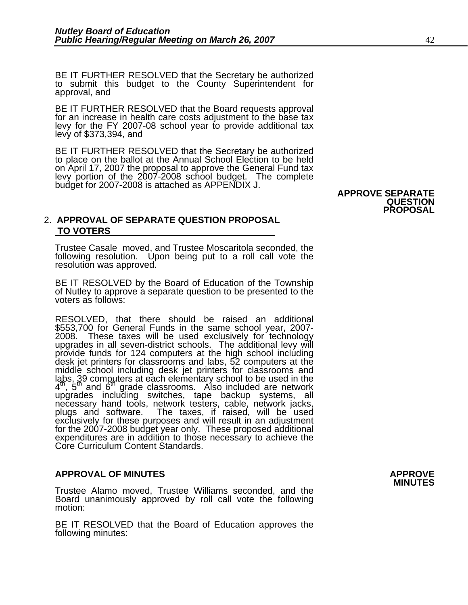BE IT FURTHER RESOLVED that the Secretary be authorized to submit this budget to the County Superintendent for approval, and

BE IT FURTHER RESOLVED that the Board requests approval for an increase in health care costs adjustment to the base tax levy for the FY 2007-08 school year to provide additional tax levy of \$373,394, and

BE IT FURTHER RESOLVED that the Secretary be authorized to place on the ballot at the Annual School Election to be held on April 17, 2007 the proposal to approve the General Fund tax levy portion of the 2007-2008 school budget. The complete budget for 2007-2008 is attached as APPENDIX J. **APPROVE SEPARATE** 

### **QUESTION PROPOSAL**

#### 2. **APPROVAL OF SEPARATE QUESTION PROPOSAL TO VOTERS**

Trustee Casale moved, and Trustee Moscaritola seconded, the following resolution. Upon being put to a roll call vote the resolution was approved.

BE IT RESOLVED by the Board of Education of the Township of Nutley to approve a separate question to be presented to the voters as follows:

RESOLVED, that there should be raised an additional \$553,700 for General Funds in the same school year, 2007-<br>2008. These taxes will be used exclusively for technology<br>upgrades in all seven-district schools. The additional levy will upgrades in all seven-district schools. The additional levy will<br>provide funds for 124 computers at the high school including<br>desk jet printers for classrooms and labs, 52 computers at the middle school including desk jet printers for classrooms and ląbs, 39 computers at each elementary school to be used in the  $4<sup>th</sup>$ ,  $5<sup>th</sup>$  and  $6<sup>th</sup>$  grade classrooms. Also included are network upgrades including switches, tape backup systems, all necessary hand tools, network testers, cable, network jacks, plugs and software. The taxes, if raised, will be used exclusively for these purposes and will result in an adjustment for the 2007-2008 budget year only. These proposed additional expenditures are in addition to those necessary to achieve the Core Curriculum Content Standards.

### **APPROVAL OF MINUTES APPROVE**

Trustee Alamo moved, Trustee Williams seconded, and the Board unanimously approved by roll call vote the following motion:

BE IT RESOLVED that the Board of Education approves the following minutes: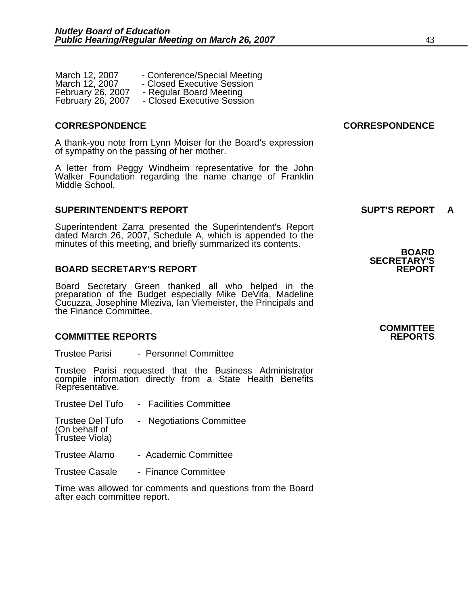| March 12, 2007           | - Conference/Special Meeting |
|--------------------------|------------------------------|
| March 12, 2007           | - Closed Executive Session   |
| <b>February 26, 2007</b> | - Regular Board Meeting      |
| <b>February 26, 2007</b> | - Closed Executive Session   |

A thank-you note from Lynn Moiser for the Board's expression of sympathy on the passing of her mother.

A letter from Peggy Windheim representative for the John Walker Foundation regarding the name change of Franklin Middle School.

#### **SUPERINTENDENT'S REPORT SUPT'S REPORT A**

Superintendent Zarra presented the Superintendent's Report dated March 26, 2007, Schedule A, which is appended to the minutes of this meeting, and briefly summarized its contents. **BOARD** 

#### **BOARD SECRETARY'S REPORT**

Board Secretary Green thanked all who helped in the preparation of the Budget especially Mike DeVita, Madeline Cucuzza, Josephine Mleziva, Ian Viemeister, the Principals and the Finance Committee.

#### **COMMITTEE REPORTS REPORTS**

Trustee Parisi - Personnel Committee

Trustee Parisi requested that the Business Administrator compile information directly from a State Health Benefits Representative.

| <b>Trustee Del Tufo</b>                  | - Facilities Committee   |
|------------------------------------------|--------------------------|
| <b>Trustee Del Tufo</b><br>(On behalf of | - Negotiations Committee |

Trustee Viola)

- Trustee Alamo Academic Committee
- Trustee Casale Finance Committee

Time was allowed for comments and questions from the Board after each committee report.

#### **CORRESPONDENCE CORRESPONDENCE**

**SECRETARY'S** 

### **COMMITTEE**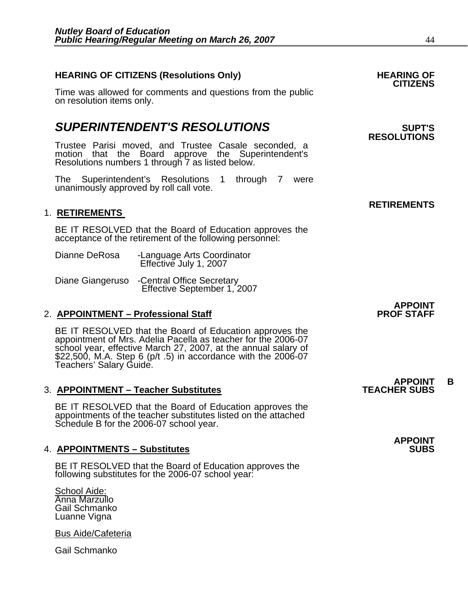### **HEARING OF CITIZENS (Resolutions Only) HEARING OF CITIZENS**

Time was allowed for comments and questions from the public on resolution items only.

### **SUPERINTENDENT'S RESOLUTIONS EXAMPLE ASSESSED ASSESSED ASSESSED ASSESSED ASSESSED ASSESSED ASSESSED ASSESSED ASSESSED ASSESSED ASSESSED ASSESSED ASSESSED ASSESSED ASSESSED ASSESSED ASSESSED ASSESSED ASSESSED ASSESSED AS**

Trustee Parisi moved, and Trustee Casale seconded, a motion that the Board approve the Superintendent's Resolutions numbers 1 through 7 as listed below.

The Superintendent's Resolutions 1 through 7 were unanimously approved by roll call vote.

#### 1. **RETIREMENTS**

BE IT RESOLVED that the Board of Education approves the acceptance of the retirement of the following personnel:

| Dianne DeRosa | -Language Arts Coordinator |
|---------------|----------------------------|
|               | Effective July 1, 2007     |

Diane Giangeruso -Central Office Secretary Effective September 1, 2007

#### 2. **APPOINTMENT – Professional Staff**

BE IT RESOLVED that the Board of Education approves the appointment of Mrs. Adelia Pacella as teacher for the 2006-07 school year, effective March 27, 2007, at the annual salary of \$22,500, M.A. Step 6 (p/t .5) in accordance with the 2006-07 Teachers' Salary Guide.

#### **3. APPOINTMENT – Teacher Substitutes**

BE IT RESOLVED that the Board of Education approves the appointments of the teacher substitutes listed on the attached Schedule B for the 2006-07 school year.

#### **4. APPOINTMENTS – Substitutes**

BE IT RESOLVED that the Board of Education approves the following substitutes for the 2006-07 school year:

School Aide: Anna Marzullo Gail Schmanko Luanne Vigna

Bus Aide/Cafeteria

Gail Schmanko

## **RESOLUTIONS**

#### **RETIREMENTS**

### **APPOINT<br>PROF STAFF**

### **APPOINT B**<br>TEACHER SUBS

### **APPOINT**

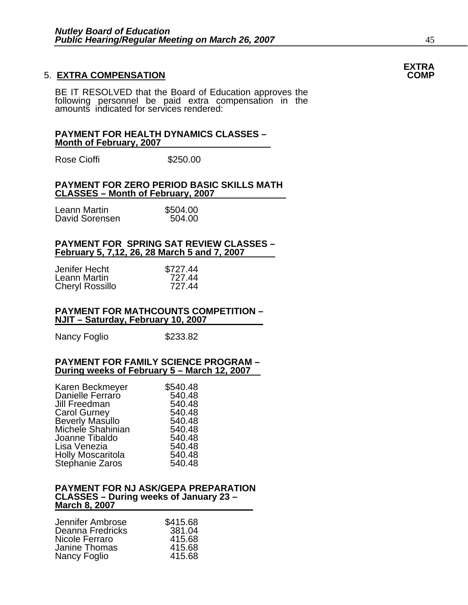#### **5. EXTRA COMPENSATION**

BE IT RESOLVED that the Board of Education approves the following personnel be paid extra compensation in the amounts indicated for services rendered:

#### **PAYMENT FOR HEALTH DYNAMICS CLASSES – Month of February, 2007**

Rose Cioffi **\$250.00** 

#### **PAYMENT FOR ZERO PERIOD BASIC SKILLS MATH CLASSES – Month of February, 2007**

| Leann Martin   | \$504.00 |
|----------------|----------|
| David Sorensen | 504.00   |

#### **PAYMENT FOR SPRING SAT REVIEW CLASSES – February 5, 7,12, 26, 28 March 5 and 7, 2007**

| Jenifer Hecht   | \$727.44 |
|-----------------|----------|
| Leann Martin    | 727.44   |
| Cheryl Rossillo | 727.44   |

#### **PAYMENT FOR MATHCOUNTS COMPETITION – NJIT – Saturday, February 10, 2007**

Nancy Foglio \$233.82

#### **PAYMENT FOR FAMILY SCIENCE PROGRAM – During weeks of February 5 – March 12, 2007**

| Karen Beckmeyer          | \$540.48 |
|--------------------------|----------|
| Danielle Ferraro         | 540.48   |
| Jill Freedman            | 540.48   |
| <b>Carol Gurney</b>      | 540.48   |
| <b>Beverly Masullo</b>   | 540.48   |
| Michele Shahinian        | 540.48   |
| Joanne Tibaldo           | 540.48   |
| Lisa Venezia             | 540.48   |
| <b>Holly Moscaritola</b> | 540.48   |
| Stephanie Zaros          | 540.48   |

#### **PAYMENT FOR NJ ASK/GEPA PREPARATION CLASSES – During weeks of January 23 – March 8, 2007**

| \$415.68 |
|----------|
| 381.04   |
| 415.68   |
| 415.68   |
| 415.68   |
|          |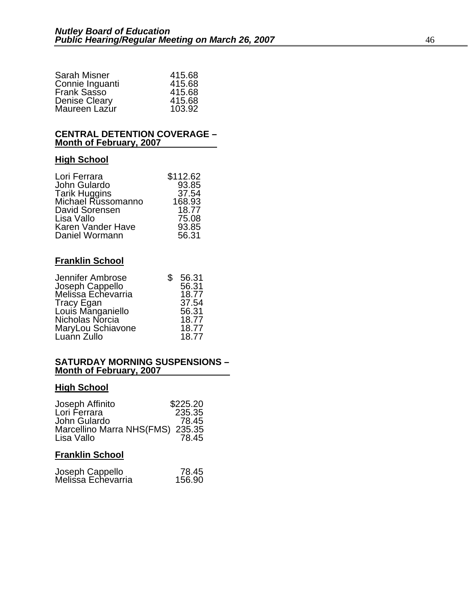| <b>Sarah Misner</b>  | 415.68 |
|----------------------|--------|
| Connie Inguanti      | 415.68 |
| Frank Sasso          | 415.68 |
| <b>Denise Cleary</b> | 415.68 |
| Maureen Lazur        | 103.92 |

#### **CENTRAL DETENTION COVERAGE – Month of February, 2007**

#### **High School**

| \$112.62 |
|----------|
| 93.85    |
| 37.54    |
| 168.93   |
| 18.77    |
| 75.08    |
| 93.85    |
| 56.31    |
|          |

#### **Franklin School**

| 56.31 |
|-------|
| 56.31 |
| 18.77 |
| 37.54 |
| 56.31 |
| 18.77 |
| 18.77 |
| 18.77 |
|       |

#### **SATURDAY MORNING SUSPENSIONS – Month of February, 2007**

#### **High School**

| Joseph Affinito                  | \$225.20 |
|----------------------------------|----------|
| Lori Ferrara                     | 235.35   |
| John Gulardo                     | 78.45    |
| Marcellino Marra NHS(FMS) 235.35 |          |
| Lisa Vallo                       | 78.45    |

#### **Franklin School**

| Joseph Cappello    | 78.45  |
|--------------------|--------|
| Melissa Echevarria | 156.90 |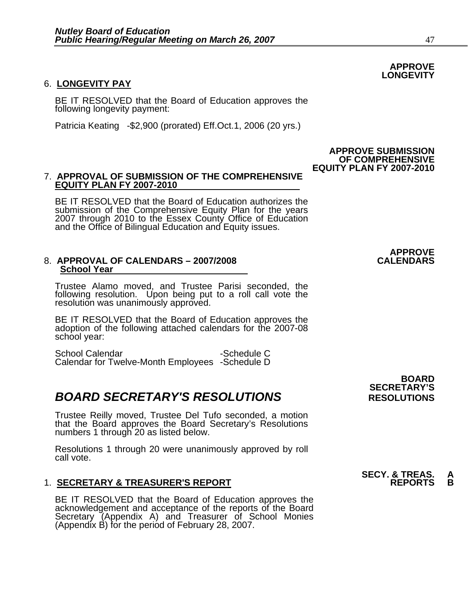#### 6. **LONGEVITY PAY**

BE IT RESOLVED that the Board of Education approves the following longevity payment:

Patricia Keating -\$2,900 (prorated) Eff.Oct.1, 2006 (20 yrs.)

#### 7. **APPROVAL OF SUBMISSION OF THE COMPREHENSIVE EQUITY PLAN FY 2007-2010**

BE IT RESOLVED that the Board of Education authorizes the submission of the Comprehensive Equity Plan for the years 2007 through 2010 to the Essex County Office of Education and the Office of Bilingual Education and Equity issues.

#### 8. APPROVAL OF CALENDARS - 2007/2008 **School Year**

Trustee Alamo moved, and Trustee Parisi seconded, the following resolution. Upon being put to a roll call vote the resolution was unanimously approved.

BE IT RESOLVED that the Board of Education approves the adoption of the following attached calendars for the 2007-08 school year:

School Calendar - Schedule C Calendar for Twelve-Month Employees -Schedule D

### **BOARD SECRETARY'S RESOLUTIONS** RESOLUTIONS

Trustee Reilly moved, Trustee Del Tufo seconded, a motion that the Board approves the Board Secretary's Resolutions numbers 1 through 20 as listed below.

Resolutions 1 through 20 were unanimously approved by roll call vote.

#### 1. **SECRETARY & TREASURER'S REPORT**

 BE IT RESOLVED that the Board of Education approves the acknowledgement and acceptance of the reports of the Board Secretary (Appendix A) and Treasurer of School Monies (Appendix B) for the period of February 28, 2007.

 **BOARD SECRETARY'S** 

#### **APPROVE SUBMISSION OF COMPREHENSIVE EQUITY PLAN FY 2007-2010**



**APPROVE** 

## **SECY. & TREAS. A**

**APPROVE LONGEVITY**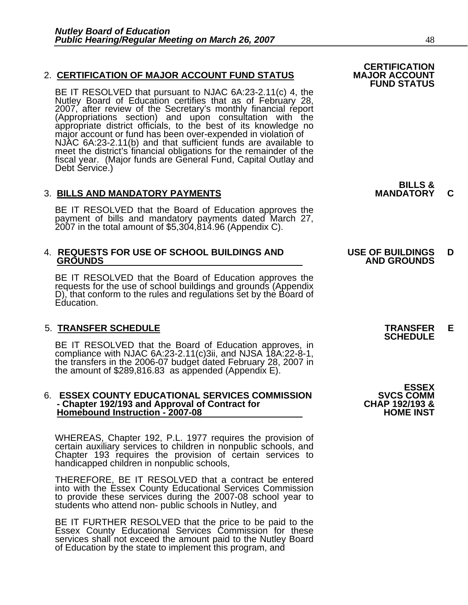#### 2. **CERTIFICATION OF MAJOR ACCOUNT FUND STATUS**

BE IT RESOLVED that pursuant to NJAC 6A:23-2.11(c) 4, the Nutley Board of Education certifies that as of February 28, 2007, after review of the Secretary's monthly financial report (Appropriations section) and upon consult appropriate district officials, to the best of its knowledge no<br>major account or fund has been over-expended in violation of<br>NJAC 6A:23-2.11(b) and that sufficient funds are available to meet the district's financial obligations for the remainder of the fiscal year. (Major funds are General Fund, Capital Outlay and Debt Service.)

#### 3. **BILLS AND MANDATORY PAYMENTS MANDATORY C**

BE IT RESOLVED that the Board of Education approves the payment of bills and mandatory payments dated March 27, 2007 in the total amount of \$5,304,814.96 (Appendix C).

### 4. **REQUESTS FOR USE OF SCHOOL BUILDINGS AND USE OF BUILDINGS D**

BE IT RESOLVED that the Board of Education approves the requests for the use of school buildings and grounds (Appendix D), that conform to the rules and regulations set by the Board of Education.

5. TRANSFER SCHEDULE<br>
BE IT RESOLVED that the Board of Education approves, in **SCHEDULE** compliance with NJAC 6A:23-2.11(c)3ii, and NJSA 18A:22-8-1,<br>the transfers in the 2006-07 budget dated February 28, 2007 in<br>the amount of \$289,816.83 as appended (Appendix E).

#### 6. **ESSEX COUNTY EDUCATIONAL SERVICES COMMISSION SVCS COMM - Chapter 192/193 and Approval of Contract for CHAP 192/193 & Homebound Instruction - 2007-08**

WHEREAS, Chapter 192, P.L. 1977 requires the provision of certain auxiliary services to children in nonpublic schools, and Chapter 193 requires the provision of certain services to handicapped children in nonpublic schools,

THEREFORE, BE IT RESOLVED that a contract be entered into with the Essex County Educational Services Commission to provide these services during the 2007-08 school year to students who attend non- public schools in Nutley, and

BE IT FURTHER RESOLVED that the price to be paid to the Essex County Educational Services Commission for these services shall not exceed the amount paid to the Nutley Board of Education by the state to implement this program, and **BILLS &** 

## **GROUNDS AND GROUNDS**

**ESSEX**<br>SVCS COMM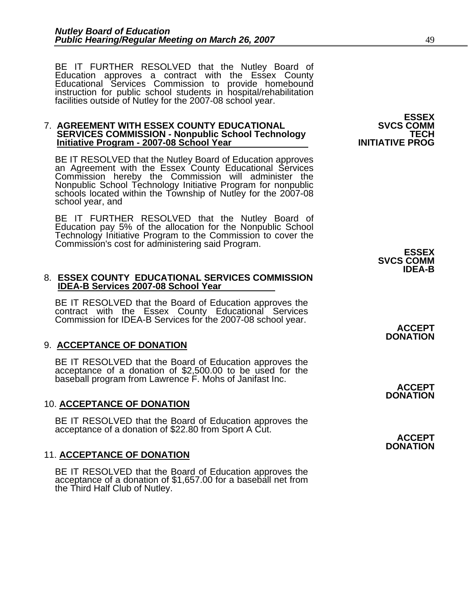BE IT FURTHER RESOLVED that the Nutley Board of<br>Education approves a contract with the Essex County Educational Services Commission to provide homebound instruction for public school students in hospital/rehabilitation<br>facilities outside of Nutley for the 2007-08 school year.

### 7. **AGREEMENT WITH ESSEX COUNTY EDUCATIONAL SVCS COMM SERVICES COMMISSION - Nonpublic School Technology TECH Initiative Program - 2007-08 School Year INITIATIVE PROG**

BE IT RESOLVED that the Nutley Board of Education approves<br>an Agreement with the Essex County Educational Services<br>Commission hereby the Commission will administer the Nonpublic School Technology Initiative Program for nonpublic<br>schools located within the Township of Nutley for the 2007-08<br>school year, and

BE IT FURTHER RESOLVED that the Nutley Board of Education pay 5% of the allocation for the Nonpublic School Technology Initiative Program to the Commission to cover the Commission's cost for administering said Program. **ESSEX SVCS COMM IDEA-B** 

#### 8. **ESSEX COUNTY EDUCATIONAL SERVICES COMMISSION IDEA-B Services 2007-08 School Year**

BE IT RESOLVED that the Board of Education approves the<br>contract with the Essex County Educational Services<br>Commission for IDEA-B Services for the 2007-08 school year. **ACCEPT** 

#### 9. **ACCEPTANCE OF DONATION**

BE IT RESOLVED that the Board of Education approves the acceptance of a donation of \$2,500.00 to be used for the baseball program from Lawrence F. Mohs of Janifast Inc.

#### 10. **ACCEPTANCE OF DONATION**

BE IT RESOLVED that the Board of Education approves the acceptance of a donation of \$22.80 from Sport A Cut. **ACCEPT** 

#### 11. **ACCEPTANCE OF DONATION**

BE IT RESOLVED that the Board of Education approves the acceptance of a donation of \$1,657.00 for a baseball net from the Third Half Club of Nutley.

**ESSEX**<br>SVCS COMM

**DONATION** 

**ACCEPT DONATION** 

**DONATION**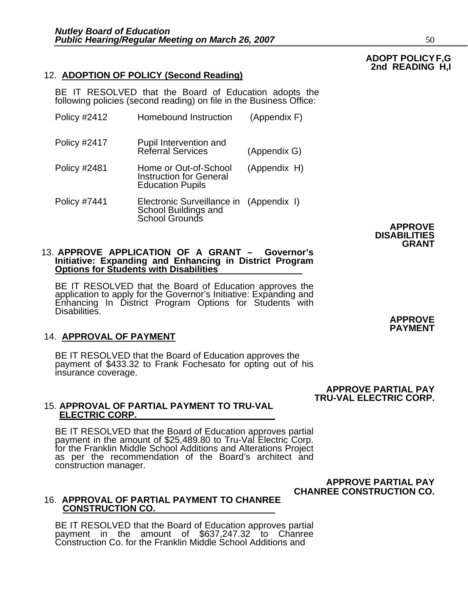#### 12. **ADOPTION OF POLICY (Second Reading)**

BE IT RESOLVED that the Board of Education adopts the following policies (second reading) on file in the Business Office:

| <b>Policy #2412</b> | <b>Homebound Instruction</b>                                                       | (Appendix F) |
|---------------------|------------------------------------------------------------------------------------|--------------|
| <b>Policy #2417</b> | <b>Pupil Intervention and<br/>Referral Services</b>                                | (Appendix G) |
| <b>Policy #2481</b> | Home or Out-of-School<br><b>Instruction for General</b><br><b>Education Pupils</b> | (Appendix H) |
| <b>Policy #7441</b> | Electronic Surveillance in<br>School Buildings and<br>School Grounds               | (Appendix I) |

**APPROVE DISABILITIES GRANT** 

### 13. **APPROVE APPLICATION OF A GRANT – Governor's Initiative: Expanding and Enhancing in District Program Options for Students with Disabilities**

BE IT RESOLVED that the Board of Education approves the application to apply for the Governor's Initiative: Expanding and Enhancing In District Program Options for Students with Disabilities.

#### 14. **APPROVAL OF PAYMENT**

BE IT RESOLVED that the Board of Education approves the payment of \$433.32 to Frank Fochesato for opting out of his insurance coverage.

> **APPROVE PARTIAL PAY TRU-VAL ELECTRIC CORP.**

> > **APPROVE PARTIAL PAY**

## 15. **APPROVAL OF PARTIAL PAYMENT TO TRU-VAL ELECTRIC CORP.**

BE IT RESOLVED that the Board of Education approves partial payment in the amount of \$25,489.80 to Tru-Val Electric Corp.<br>for the Franklin Middle School Additions and Alterations Project<br>as per the recommendation of the Board's architect and construction manager.

**CHANREE CONSTRUCTION CO.** 

#### 16. **APPROVAL OF PARTIAL PAYMENT TO CHANREE CONSTRUCTION CO.**

BE IT RESOLVED that the Board of Education approves partial payment in the amount of \$637,247.32 to Chanree Construction Co. for the Franklin Middle School Additions and

**APPROVE PAYMENT**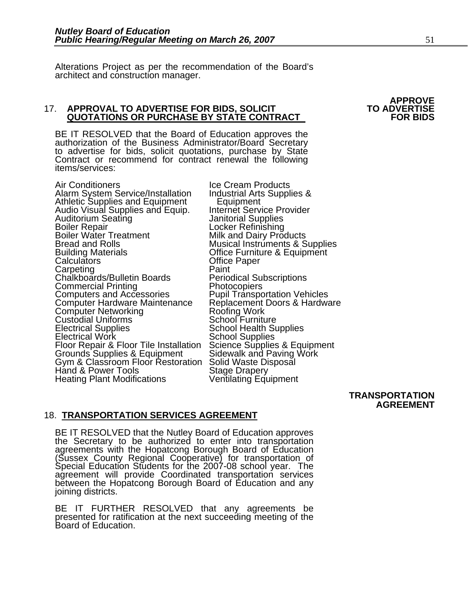Alterations Project as per the recommendation of the Board's architect and construction manager.

#### 17. **APPROVAL TO ADVERTISE FOR BIDS, SOLICIT TO ADVERTISE QUOTATIONS OR PURCHASE BY STATE CONTRACT FOR BIDS**

BE IT RESOLVED that the Board of Education approves the authorization of the Business Administrator/Board Secretary to advertise for bids, solicit quotations, purchase by State Contract or recommend for contract renewal the following items/services:

Air Conditioners<br>Alarm System Service/Installation Industrial Arts Supplies & Alarm System Service/Installation Industrial Arts<br>Athletic Supplies and Equipment Equipment Athletic Supplies and Equipment<br>
Audio Visual Supplies and Equip. Internet Service Provider<br>
Auditorium Seating danitorial Supplies Auditorium Seating Janitorial Supplies Boiler Repair Locker Refinishing Boiler Water Treatment Milk and Dairy Products Bread and Rolls Musical Instruments & Supplies Building Materials Office Furniture & Equipment Calculators Office Paper Carpeting Paint Chalkboards/Bulletin Boards Periodical Subscriptions<br>
Commercial Printing Photocopiers<br>
Computers and Accessories Pupil Transportation Vehicles<br>
Computer Hardware Maintenance Replacement Doors & Hardware Computer Hardware Maintenance Replacement Doors & H<br>
Computer Networking Roofing Work<br>
Custodial Uniforms School Furniture<br>
Electrical Supplies School Health Supplies Electrical Work<br>
Floor Repair & Floor Tile Installation<br>
Grounds Supplies & Equipment<br>
Grounds Supplies & Equipment<br>
Gym & Classroom Floor Restoration<br>
Solid Waste Disposal<br>
Hand & Power Tools<br>
Stage Drapery Heating Plant Modifications Ventilating Equipment

 **TRANSPORTATION AGREEMENT** 

#### 18. **TRANSPORTATION SERVICES AGREEMENT**

BE IT RESOLVED that the Nutley Board of Education approves<br>the Secretary to be authorized to enter into transportation<br>agreements with the Hopatcong Borough Board of Education<br>(Sussex County Regional Cooperative) for trans between the Hopatcong Borough Board of Education and any joining districts.

BE IT FURTHER RESOLVED that any agreements be presented for ratification at the next succeeding meeting of the Board of Education.

# **APPROVE**<br>TO ADVERTISE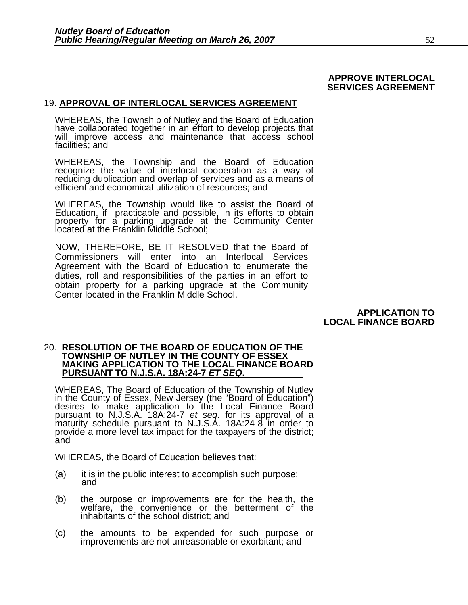#### **APPROVE INTERLOCAL SERVICES AGREEMENT**

#### 19. **APPROVAL OF INTERLOCAL SERVICES AGREEMENT**

WHEREAS, the Township of Nutley and the Board of Education<br>have collaborated together in an effort to develop projects that<br>will improve access and maintenance that access school facilities; and

WHEREAS, the Township and the Board of Education recognize the value of interlocal cooperation as a way of<br>reducing duplication and overlap of services and as a means of efficient and economical utilization of resources; and

WHEREAS, the Township would like to assist the Board of Education, if practicable and possible, in its efforts to obtain property for a parking upgrade at the Community Center<br>located at the Franklin Middle School;

NOW, THEREFORE, BE IT RESOLVED that the Board of Commissioners will enter into an Interlocal Services Agreement with the Board of Education to enumerate the duties, roll and responsibilities of the parties in an effort to obtain property for a parking upgrade at the Community Center located in the Franklin Middle School.

> **APPLICATION TO LOCAL FINANCE BOARD**

#### 20. **RESOLUTION OF THE BOARD OF EDUCATION OF THE TOWNSHIP OF NUTLEY IN THE COUNTY OF ESSEX MAKING APPLICATION TO THE LOCAL FINANCE BOARD PURSUANT TO N.J.S.A. 18A:24-7** *ET SEQ***.**

WHEREAS, The Board of Education of the Township of Nutley<br>in the County of Essex, New Jersey (the "Board of Education")<br>desires to make application to the Local Finance Board pursuant to N.J.S.A. 18A:24-7 *et seq*. for its approval of a maturity schedule pursuant to N.J.S.A. 18A:24-8 in order to provide a more level tax impact for the taxpayers of the district;<br>and

WHEREAS, the Board of Education believes that:

- (a) it is in the public interest to accomplish such purpose; and
- (b) the purpose or improvements are for the health, the welfare, the convenience or the betterment of the inhabitants of the school district; and
- (c) the amounts to be expended for such purpose or improvements are not unreasonable or exorbitant; and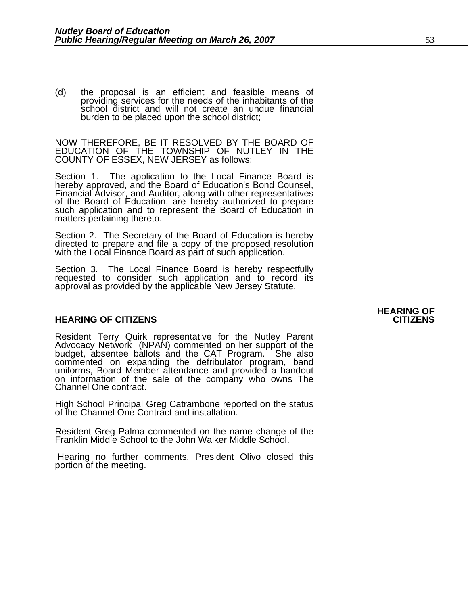(d) the proposal is an efficient and feasible means of providing services for the needs of the inhabitants of the school district and will not create an undue financial burden to be placed upon the school district;

NOW THEREFORE, BE IT RESOLVED BY THE BOARD OF EDUCATION OF THE TOWNSHIP OF NUTLEY IN THE COUNTY OF ESSEX, NEW JERSEY as follows:

Section 1. The application to the Local Finance Board is hereby approved, and the Board of Education's Bond Counsel, Financial Advisor, and Auditor, along with other representatives of the Board of Education, are hereby authorized to prepare such application and to represent the Board of Education in matters pertaining thereto.

Section 2. The Secretary of the Board of Education is hereby directed to prepare and file a copy of the proposed resolution with the Local Finance Board as part of such application.

Section 3. The Local Finance Board is hereby respectfully requested to consider such application and to record its approval as provided by the applicable New Jersey Statute.

#### **HEARING OF CITIZENS CITIZENS**

Resident Terry Quirk representative for the Nutley Parent Advocacy Network (NPAN) commented on her support of the budget, absentee ballots and the CAT Program. She also commented on expanding the defribulator program, band uniforms, Board Member attendance and provided a handout on information of the sale of the company who owns The Channel One contract.

High School Principal Greg Catrambone reported on the status of the Channel One Contract and installation.

Resident Greg Palma commented on the name change of the Franklin Middle School to the John Walker Middle School.

 Hearing no further comments, President Olivo closed this portion of the meeting.

## **HEARING OF**